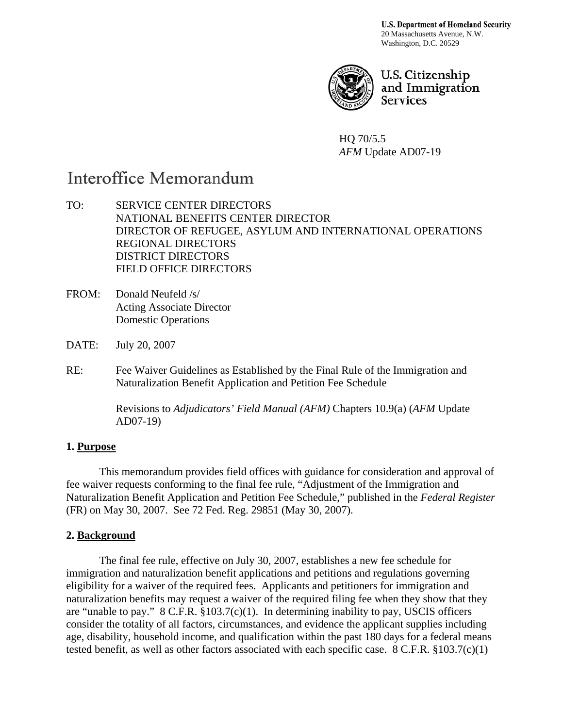**U.S. Department of Homeland Security** 20 Massachusetts Avenue, N.W. Washington, D.C. 20529



U.S. Citizenship and Immigration **Services** 

HQ 70/5.5 *AFM* Update AD07-19

# Interoffice Memorandum

TO: SERVICE CENTER DIRECTORS NATIONAL BENEFITS CENTER DIRECTOR DIRECTOR OF REFUGEE, ASYLUM AND INTERNATIONAL OPERATIONS REGIONAL DIRECTORS DISTRICT DIRECTORS FIELD OFFICE DIRECTORS

- FROM: Donald Neufeld /s/ Acting Associate Director Domestic Operations
- DATE: July 20, 2007
- RE: Fee Waiver Guidelines as Established by the Final Rule of the Immigration and Naturalization Benefit Application and Petition Fee Schedule

 Revisions to *Adjudicators' Field Manual (AFM)* Chapters 10.9(a) (*AFM* Update AD07-19)

#### **1. Purpose**

This memorandum provides field offices with guidance for consideration and approval of fee waiver requests conforming to the final fee rule, "Adjustment of the Immigration and Naturalization Benefit Application and Petition Fee Schedule," published in the *Federal Register* (FR) on May 30, 2007. See 72 Fed. Reg. 29851 (May 30, 2007).

## **2. Background**

The final fee rule, effective on July 30, 2007, establishes a new fee schedule for immigration and naturalization benefit applications and petitions and regulations governing eligibility for a waiver of the required fees. Applicants and petitioners for immigration and naturalization benefits may request a waiver of the required filing fee when they show that they are "unable to pay." 8 C.F.R. §103.7(c)(1). In determining inability to pay, USCIS officers consider the totality of all factors, circumstances, and evidence the applicant supplies including age, disability, household income, and qualification within the past 180 days for a federal means tested benefit, as well as other factors associated with each specific case. 8 C.F.R. §103.7(c)(1)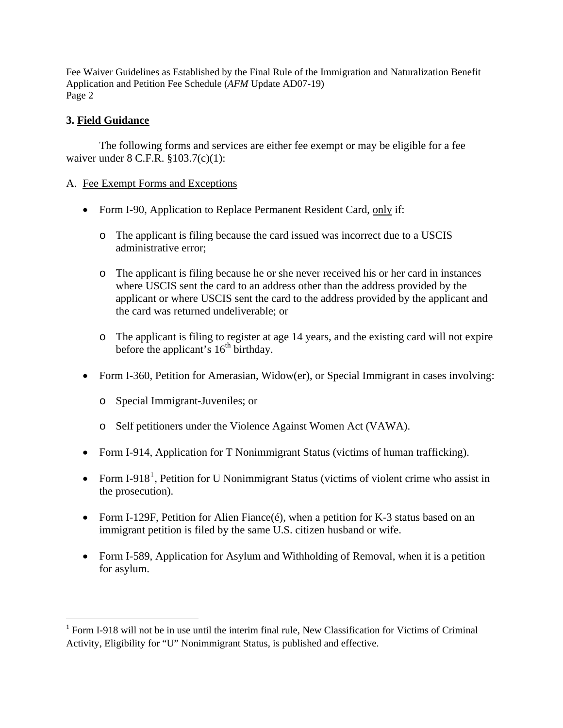#### **3. Field Guidance**

 $\overline{a}$ 

The following forms and services are either fee exempt or may be eligible for a fee waiver under 8 C.F.R. §103.7(c)(1):

#### A. Fee Exempt Forms and Exceptions

- Form I-90, Application to Replace Permanent Resident Card, only if:
	- o The applicant is filing because the card issued was incorrect due to a USCIS administrative error;
	- o The applicant is filing because he or she never received his or her card in instances where USCIS sent the card to an address other than the address provided by the applicant or where USCIS sent the card to the address provided by the applicant and the card was returned undeliverable; or
	- o The applicant is filing to register at age 14 years, and the existing card will not expire before the applicant's  $16<sup>th</sup>$  birthday.
- Form I-360, Petition for Amerasian, Widow(er), or Special Immigrant in cases involving:
	- o Special Immigrant-Juveniles; or
	- o Self petitioners under the Violence Against Women Act (VAWA).
- Form I-914, Application for T Nonimmigrant Status (victims of human trafficking).
- Form I-9[1](#page-1-0)8<sup>1</sup>, Petition for U Nonimmigrant Status (victims of violent crime who assist in the prosecution).
- Form I-129F, Petition for Alien Fiance $(\hat{e})$ , when a petition for K-3 status based on an immigrant petition is filed by the same U.S. citizen husband or wife.
- Form I-589, Application for Asylum and Withholding of Removal, when it is a petition for asylum.

<span id="page-1-0"></span><sup>&</sup>lt;sup>1</sup> Form I-918 will not be in use until the interim final rule, New Classification for Victims of Criminal Activity, Eligibility for "U" Nonimmigrant Status, is published and effective.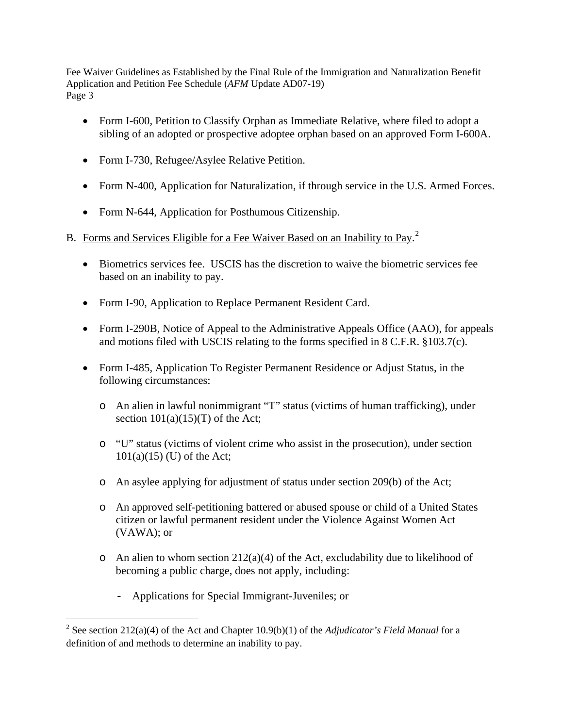- Form I-600, Petition to Classify Orphan as Immediate Relative, where filed to adopt a sibling of an adopted or prospective adoptee orphan based on an approved Form I-600A.
- Form I-730, Refugee/Asylee Relative Petition.
- Form N-400, Application for Naturalization, if through service in the U.S. Armed Forces.
- Form N-644, Application for Posthumous Citizenship.
- B. Forms and Services Eligible for a Fee Waiver Based on an Inability to Pay.<sup>[2](#page-2-0)</sup>
	- Biometrics services fee. USCIS has the discretion to waive the biometric services fee based on an inability to pay.
	- Form I-90, Application to Replace Permanent Resident Card.
	- Form I-290B, Notice of Appeal to the Administrative Appeals Office (AAO), for appeals and motions filed with USCIS relating to the forms specified in 8 C.F.R. §103.7(c).
	- Form I-485, Application To Register Permanent Residence or Adjust Status, in the following circumstances:
		- o An alien in lawful nonimmigrant "T" status (victims of human trafficking), under section  $101(a)(15)(T)$  of the Act;
		- o "U" status (victims of violent crime who assist in the prosecution), under section  $101(a)(15)$  (U) of the Act;
		- o An asylee applying for adjustment of status under section 209(b) of the Act;
		- o An approved self-petitioning battered or abused spouse or child of a United States citizen or lawful permanent resident under the Violence Against Women Act (VAWA); or
		- $\circ$  An alien to whom section 212(a)(4) of the Act, excludability due to likelihood of becoming a public charge, does not apply, including:
			- Applications for Special Immigrant-Juveniles; or

 $\overline{a}$ 

<span id="page-2-0"></span><sup>&</sup>lt;sup>2</sup> See section 212(a)(4) of the Act and Chapter 10.9(b)(1) of the *Adjudicator's Field Manual* for a definition of and methods to determine an inability to pay.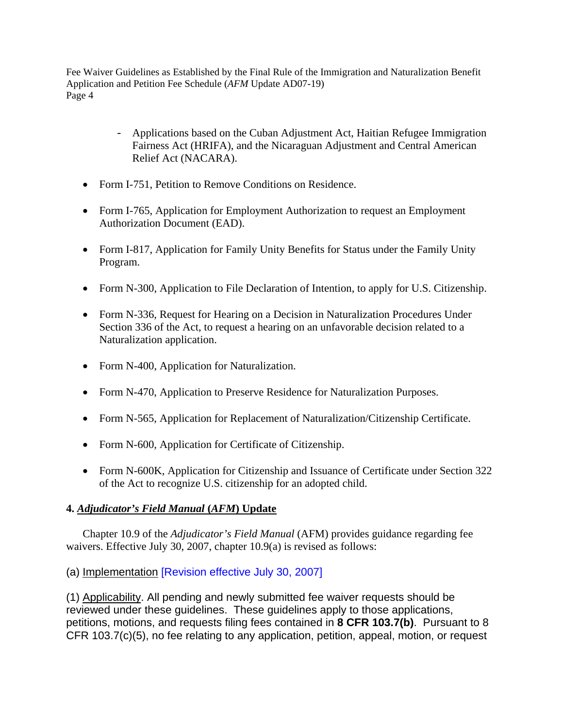- Applications based on the Cuban Adjustment Act, Haitian Refugee Immigration Fairness Act (HRIFA), and the Nicaraguan Adjustment and Central American Relief Act (NACARA).
- Form I-751, Petition to Remove Conditions on Residence.
- Form I-765, Application for Employment Authorization to request an Employment Authorization Document (EAD).
- Form I-817, Application for Family Unity Benefits for Status under the Family Unity Program.
- Form N-300, Application to File Declaration of Intention, to apply for U.S. Citizenship.
- Form N-336, Request for Hearing on a Decision in Naturalization Procedures Under Section 336 of the Act, to request a hearing on an unfavorable decision related to a Naturalization application.
- Form N-400, Application for Naturalization.
- Form N-470, Application to Preserve Residence for Naturalization Purposes.
- Form N-565, Application for Replacement of Naturalization/Citizenship Certificate.
- Form N-600, Application for Certificate of Citizenship.
- Form N-600K, Application for Citizenship and Issuance of Certificate under Section 322 of the Act to recognize U.S. citizenship for an adopted child.

## **4.** *Adjudicator's Field Manual* **(***AFM***) Update**

Chapter 10.9 of the *Adjudicator's Field Manual* (AFM) provides guidance regarding fee waivers. Effective July 30, 2007, chapter 10.9(a) is revised as follows:

(a) Implementation [Revision effective July 30, 2007]

(1) Applicability. All pending and newly submitted fee waiver requests should be reviewed under these guidelines. These guidelines apply to those applications, petitions, motions, and requests filing fees contained in **8 CFR 103.7(b)**. Pursuant to 8 CFR 103.7(c)(5), no fee relating to any application, petition, appeal, motion, or request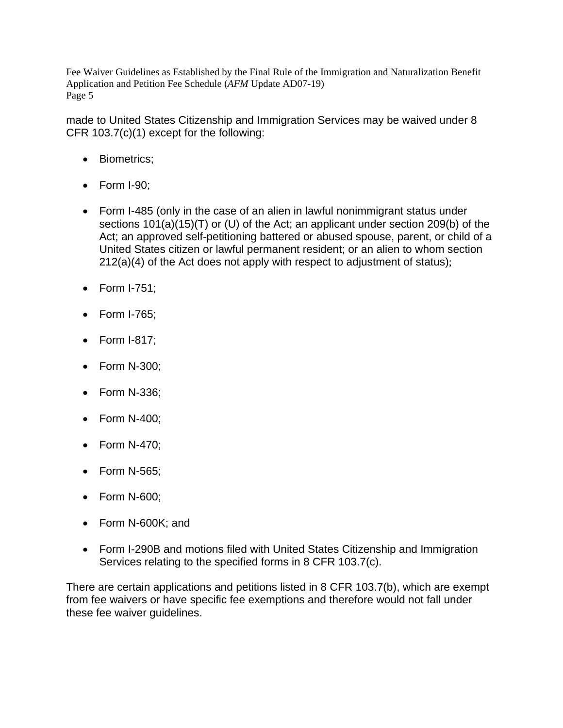made to United States Citizenship and Immigration Services may be waived under 8 CFR 103.7(c)(1) except for the following:

- Biometrics;
- Form I-90;
- Form I-485 (only in the case of an alien in lawful nonimmigrant status under sections 101(a)(15)(T) or (U) of the Act; an applicant under section 209(b) of the Act; an approved self-petitioning battered or abused spouse, parent, or child of a United States citizen or lawful permanent resident; or an alien to whom section 212(a)(4) of the Act does not apply with respect to adjustment of status);
- Form I-751;
- Form I-765;
- Form I-817;
- Form N-300;
- Form N-336;
- Form N-400;
- Form N-470;
- Form N-565;
- Form N-600;
- Form N-600K; and
- Form I-290B and motions filed with United States Citizenship and Immigration Services relating to the specified forms in 8 CFR 103.7(c).

There are certain applications and petitions listed in 8 CFR 103.7(b), which are exempt from fee waivers or have specific fee exemptions and therefore would not fall under these fee waiver guidelines.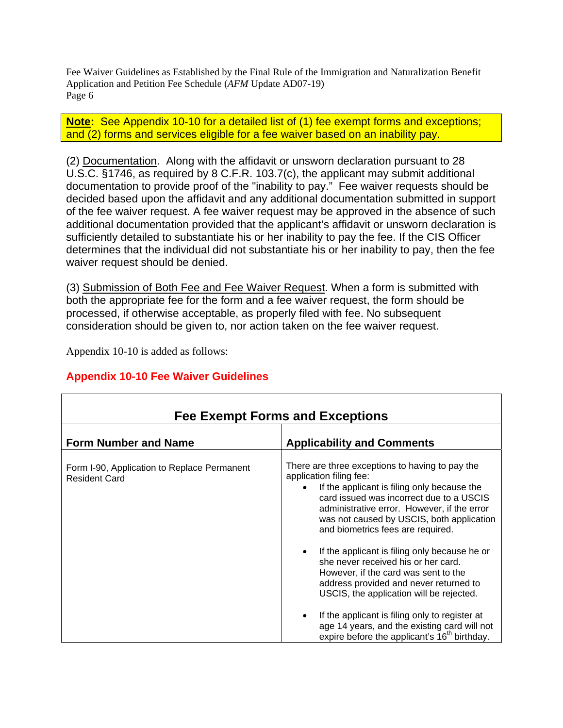**Note:** See Appendix 10-10 for a detailed list of (1) fee exempt forms and exceptions; and (2) forms and services eligible for a fee waiver based on an inability pay.

(2) Documentation. Along with the affidavit or unsworn declaration pursuant to 28 U.S.C. §1746, as required by 8 C.F.R. 103.7(c), the applicant may submit additional documentation to provide proof of the "inability to pay." Fee waiver requests should be decided based upon the affidavit and any additional documentation submitted in support of the fee waiver request. A fee waiver request may be approved in the absence of such additional documentation provided that the applicant's affidavit or unsworn declaration is sufficiently detailed to substantiate his or her inability to pay the fee. If the CIS Officer determines that the individual did not substantiate his or her inability to pay, then the fee waiver request should be denied.

(3) Submission of Both Fee and Fee Waiver Request. When a form is submitted with both the appropriate fee for the form and a fee waiver request, the form should be processed, if otherwise acceptable, as properly filed with fee. No subsequent consideration should be given to, nor action taken on the fee waiver request.

Appendix 10-10 is added as follows:

# **Appendix 10-10 Fee Waiver Guidelines**

| <b>Fee Exempt Forms and Exceptions</b>                              |                                                                                                                                                                                                                                                                                                                                                                                                                                                                                                                                                                                                                                                                                            |  |  |
|---------------------------------------------------------------------|--------------------------------------------------------------------------------------------------------------------------------------------------------------------------------------------------------------------------------------------------------------------------------------------------------------------------------------------------------------------------------------------------------------------------------------------------------------------------------------------------------------------------------------------------------------------------------------------------------------------------------------------------------------------------------------------|--|--|
| <b>Form Number and Name</b>                                         | <b>Applicability and Comments</b>                                                                                                                                                                                                                                                                                                                                                                                                                                                                                                                                                                                                                                                          |  |  |
| Form I-90, Application to Replace Permanent<br><b>Resident Card</b> | There are three exceptions to having to pay the<br>application filing fee:<br>If the applicant is filing only because the<br>card issued was incorrect due to a USCIS<br>administrative error. However, if the error<br>was not caused by USCIS, both application<br>and biometrics fees are required.<br>If the applicant is filing only because he or<br>she never received his or her card.<br>However, if the card was sent to the<br>address provided and never returned to<br>USCIS, the application will be rejected.<br>If the applicant is filing only to register at<br>age 14 years, and the existing card will not<br>expire before the applicant's 16 <sup>th</sup> birthday. |  |  |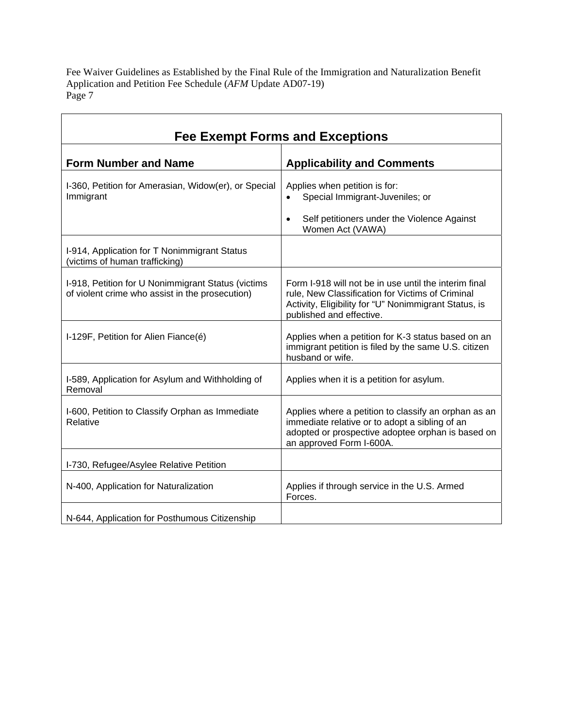$\overline{1}$ 

| <b>Fee Exempt Forms and Exceptions</b>                                                                |                                                                                                                                                                                                |  |
|-------------------------------------------------------------------------------------------------------|------------------------------------------------------------------------------------------------------------------------------------------------------------------------------------------------|--|
| <b>Form Number and Name</b>                                                                           | <b>Applicability and Comments</b>                                                                                                                                                              |  |
| I-360, Petition for Amerasian, Widow(er), or Special<br>Immigrant                                     | Applies when petition is for:<br>Special Immigrant-Juveniles; or<br>$\bullet$<br>Self petitioners under the Violence Against<br>$\bullet$<br>Women Act (VAWA)                                  |  |
| I-914, Application for T Nonimmigrant Status<br>(victims of human trafficking)                        |                                                                                                                                                                                                |  |
| I-918, Petition for U Nonimmigrant Status (victims<br>of violent crime who assist in the prosecution) | Form I-918 will not be in use until the interim final<br>rule, New Classification for Victims of Criminal<br>Activity, Eligibility for "U" Nonimmigrant Status, is<br>published and effective. |  |
| I-129F, Petition for Alien Fiance(é)                                                                  | Applies when a petition for K-3 status based on an<br>immigrant petition is filed by the same U.S. citizen<br>husband or wife.                                                                 |  |
| I-589, Application for Asylum and Withholding of<br>Removal                                           | Applies when it is a petition for asylum.                                                                                                                                                      |  |
| I-600, Petition to Classify Orphan as Immediate<br>Relative                                           | Applies where a petition to classify an orphan as an<br>immediate relative or to adopt a sibling of an<br>adopted or prospective adoptee orphan is based on<br>an approved Form I-600A.        |  |
| I-730, Refugee/Asylee Relative Petition                                                               |                                                                                                                                                                                                |  |
| N-400, Application for Naturalization                                                                 | Applies if through service in the U.S. Armed<br>Forces.                                                                                                                                        |  |
| N-644, Application for Posthumous Citizenship                                                         |                                                                                                                                                                                                |  |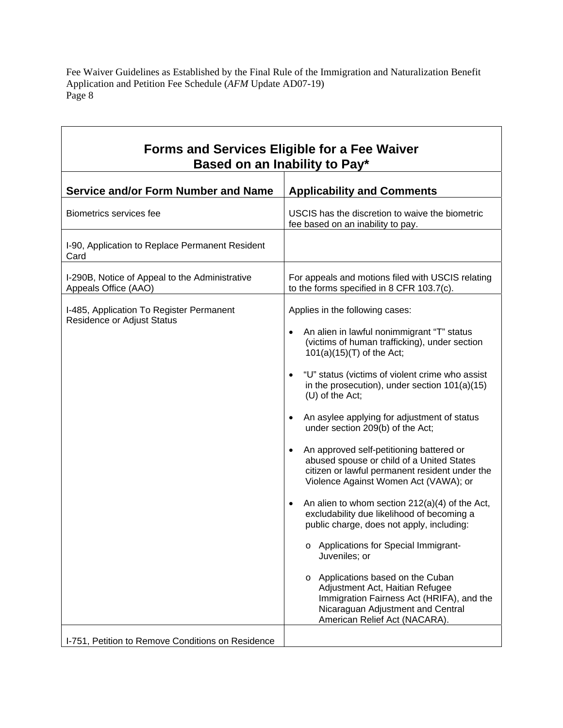ד

| <b>Forms and Services Eligible for a Fee Waiver</b><br>Based on an Inability to Pay* |                                                                                                                                                                                                                                                                                                                                                                                                                                                                                                                                                                                                                                                                                                                                                                                                                                                                                                                                                                                                |  |
|--------------------------------------------------------------------------------------|------------------------------------------------------------------------------------------------------------------------------------------------------------------------------------------------------------------------------------------------------------------------------------------------------------------------------------------------------------------------------------------------------------------------------------------------------------------------------------------------------------------------------------------------------------------------------------------------------------------------------------------------------------------------------------------------------------------------------------------------------------------------------------------------------------------------------------------------------------------------------------------------------------------------------------------------------------------------------------------------|--|
| <b>Service and/or Form Number and Name</b>                                           | <b>Applicability and Comments</b>                                                                                                                                                                                                                                                                                                                                                                                                                                                                                                                                                                                                                                                                                                                                                                                                                                                                                                                                                              |  |
| Biometrics services fee                                                              | USCIS has the discretion to waive the biometric<br>fee based on an inability to pay.                                                                                                                                                                                                                                                                                                                                                                                                                                                                                                                                                                                                                                                                                                                                                                                                                                                                                                           |  |
| I-90, Application to Replace Permanent Resident<br>Card                              |                                                                                                                                                                                                                                                                                                                                                                                                                                                                                                                                                                                                                                                                                                                                                                                                                                                                                                                                                                                                |  |
| I-290B, Notice of Appeal to the Administrative<br>Appeals Office (AAO)               | For appeals and motions filed with USCIS relating<br>to the forms specified in 8 CFR 103.7(c).                                                                                                                                                                                                                                                                                                                                                                                                                                                                                                                                                                                                                                                                                                                                                                                                                                                                                                 |  |
| I-485, Application To Register Permanent<br><b>Residence or Adjust Status</b>        | Applies in the following cases:<br>An alien in lawful nonimmigrant "T" status<br>(victims of human trafficking), under section<br>101(a)(15)(T) of the Act;<br>"U" status (victims of violent crime who assist<br>in the prosecution), under section $101(a)(15)$<br>(U) of the Act;<br>An asylee applying for adjustment of status<br>under section 209(b) of the Act;<br>An approved self-petitioning battered or<br>abused spouse or child of a United States<br>citizen or lawful permanent resident under the<br>Violence Against Women Act (VAWA); or<br>An alien to whom section $212(a)(4)$ of the Act,<br>$\bullet$<br>excludability due likelihood of becoming a<br>public charge, does not apply, including:<br>Applications for Special Immigrant-<br>$\circ$<br>Juveniles; or<br>Applications based on the Cuban<br>$\circ$<br>Adjustment Act, Haitian Refugee<br>Immigration Fairness Act (HRIFA), and the<br>Nicaraguan Adjustment and Central<br>American Relief Act (NACARA). |  |
| I-751, Petition to Remove Conditions on Residence                                    |                                                                                                                                                                                                                                                                                                                                                                                                                                                                                                                                                                                                                                                                                                                                                                                                                                                                                                                                                                                                |  |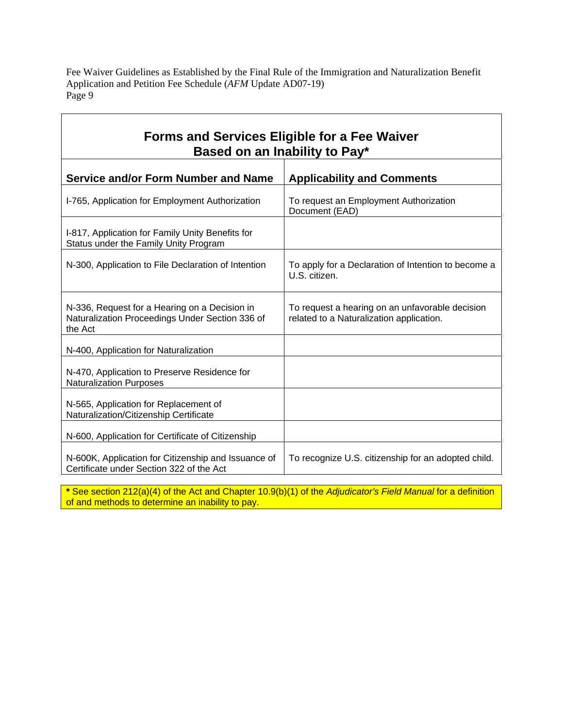| <b>Forms and Services Eligible for a Fee Waiver</b><br>Based on an Inability to Pay*                        |                                                                                             |  |
|-------------------------------------------------------------------------------------------------------------|---------------------------------------------------------------------------------------------|--|
| <b>Service and/or Form Number and Name</b>                                                                  | <b>Applicability and Comments</b>                                                           |  |
| I-765, Application for Employment Authorization                                                             | To request an Employment Authorization<br>Document (EAD)                                    |  |
| I-817, Application for Family Unity Benefits for<br>Status under the Family Unity Program                   |                                                                                             |  |
| N-300, Application to File Declaration of Intention                                                         | To apply for a Declaration of Intention to become a<br>U.S. citizen.                        |  |
| N-336, Request for a Hearing on a Decision in<br>Naturalization Proceedings Under Section 336 of<br>the Act | To request a hearing on an unfavorable decision<br>related to a Naturalization application. |  |
| N-400, Application for Naturalization                                                                       |                                                                                             |  |
| N-470, Application to Preserve Residence for<br><b>Naturalization Purposes</b>                              |                                                                                             |  |
| N-565, Application for Replacement of<br>Naturalization/Citizenship Certificate                             |                                                                                             |  |
| N-600, Application for Certificate of Citizenship                                                           |                                                                                             |  |
| N-600K, Application for Citizenship and Issuance of<br>Certificate under Section 322 of the Act             | To recognize U.S. citizenship for an adopted child.                                         |  |

**\*** See section 212(a)(4) of the Act and Chapter 10.9(b)(1) of the *Adjudicator's Field Manual* for a definition of and methods to determine an inability to pay.